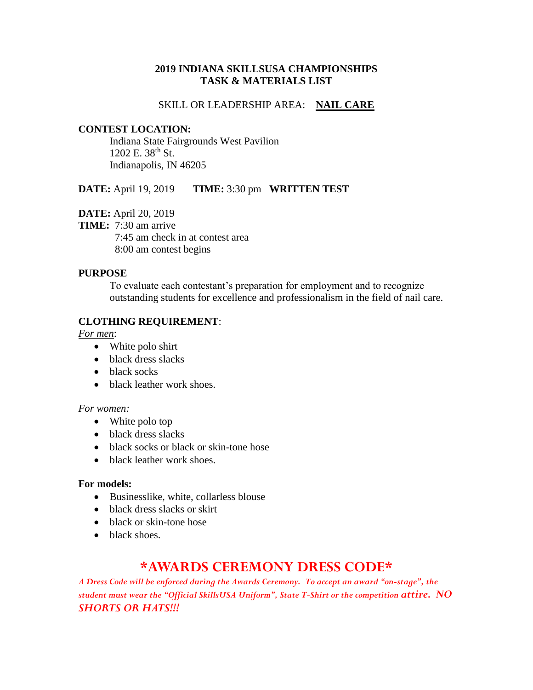## **2019 INDIANA SKILLSUSA CHAMPIONSHIPS TASK & MATERIALS LIST**

## SKILL OR LEADERSHIP AREA: **NAIL CARE**

## **CONTEST LOCATION:**

Indiana State Fairgrounds West Pavilion 1202 E. 38<sup>th</sup> St. Indianapolis, IN 46205

**DATE:** April 19, 2019 **TIME:** 3:30 pm **WRITTEN TEST**

**DATE:** April 20, 2019

**TIME:** 7:30 am arrive

 7:45 am check in at contest area 8:00 am contest begins

## **PURPOSE**

To evaluate each contestant's preparation for employment and to recognize outstanding students for excellence and professionalism in the field of nail care.

## **CLOTHING REQUIREMENT**:

*For men*:

- White polo shirt
- black dress slacks
- black socks
- black leather work shoes.

### *For women:*

- White polo top
- black dress slacks
- black socks or black or skin-tone hose
- black leather work shoes.

## **For models:**

- Businesslike, white, collarless blouse
- black dress slacks or skirt
- black or skin-tone hose
- black shoes.

## **\*AWARDS CEREMONY DRESS CODE\***

*A Dress Code will be enforced during the Awards Ceremony. To accept an award "on-stage", the student must wear the "Official SkillsUSA Uniform", State T-Shirt or the competition attire. NO SHORTS OR HATS!!!*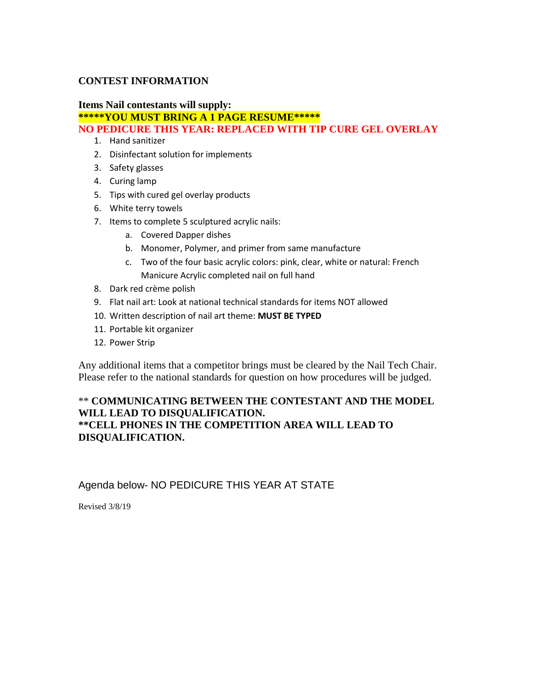## **CONTEST INFORMATION**

## **Items Nail contestants will supply:**

**\*\*\*\*\*YOU MUST BRING A 1 PAGE RESUME\*\*\*\*\***

## **NO PEDICURE THIS YEAR: REPLACED WITH TIP CURE GEL OVERLAY**

- 1. Hand sanitizer
- 2. Disinfectant solution for implements
- 3. Safety glasses
- 4. Curing lamp
- 5. Tips with cured gel overlay products
- 6. White terry towels
- 7. Items to complete 5 sculptured acrylic nails:
	- a. Covered Dapper dishes
	- b. Monomer, Polymer, and primer from same manufacture
	- c. Two of the four basic acrylic colors: pink, clear, white or natural: French Manicure Acrylic completed nail on full hand
- 8. Dark red crème polish
- 9. Flat nail art: Look at national technical standards for items NOT allowed
- 10. Written description of nail art theme: **MUST BE TYPED**
- 11. Portable kit organizer
- 12. Power Strip

Any additional items that a competitor brings must be cleared by the Nail Tech Chair. Please refer to the national standards for question on how procedures will be judged.

## \*\* **COMMUNICATING BETWEEN THE CONTESTANT AND THE MODEL WILL LEAD TO DISQUALIFICATION. \*\*CELL PHONES IN THE COMPETITION AREA WILL LEAD TO DISQUALIFICATION.**

## Agenda below- NO PEDICURE THIS YEAR AT STATE

Revised 3/8/19